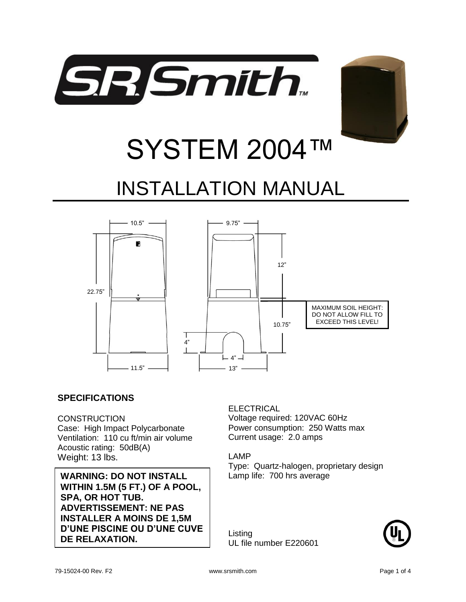



# SYSTEM 2004™ INSTALLATION MANUAL



#### **SPECIFICATIONS**

#### **CONSTRUCTION**

Case: High Impact Polycarbonate Ventilation: 110 cu ft/min air volume Acoustic rating: 50dB(A) Weight: 13 lbs.

**WARNING: DO NOT INSTALL WITHIN 1.5M (5 FT.) OF A POOL, SPA, OR HOT TUB. ADVERTISSEMENT: NE PAS INSTALLER A MOINS DE 1,5M D'UNE PISCINE OU D'UNE CUVE DE RELAXATION.**

#### ELECTRICAL

Voltage required: 120VAC 60Hz Power consumption: 250 Watts max Current usage: 2.0 amps

#### LAMP

Type: Quartz-halogen, proprietary design Lamp life: 700 hrs average

Listing UL file number E220601

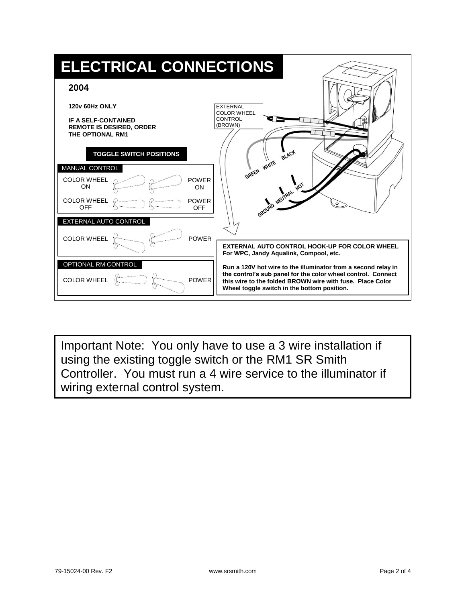

Important Note: You only have to use a 3 wire installation if using the existing toggle switch or the RM1 SR Smith Controller. You must run a 4 wire service to the illuminator if wiring external control system.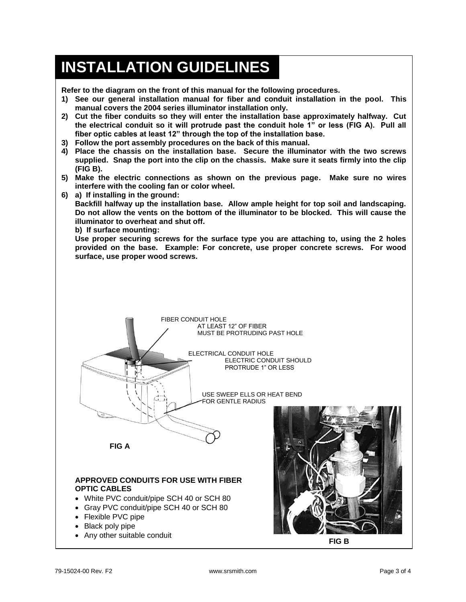## **INSTALLATION GUIDELINES**

**Refer to the diagram on the front of this manual for the following procedures.**

- **1) See our general installation manual for fiber and conduit installation in the pool. This manual covers the 2004 series illuminator installation only.**
- **2) Cut the fiber conduits so they will enter the installation base approximately halfway. Cut the electrical conduit so it will protrude past the conduit hole 1" or less (FIG A). Pull all fiber optic cables at least 12" through the top of the installation base.**
- **3) Follow the port assembly procedures on the back of this manual.**
- **4) Place the chassis on the installation base. Secure the illuminator with the two screws supplied. Snap the port into the clip on the chassis. Make sure it seats firmly into the clip (FIG B).**
- **5) Make the electric connections as shown on the previous page. Make sure no wires interfere with the cooling fan or color wheel.**
- **6) a) If installing in the ground:**

**Backfill halfway up the installation base. Allow ample height for top soil and landscaping. Do not allow the vents on the bottom of the illuminator to be blocked. This will cause the illuminator to overheat and shut off.**

**b) If surface mounting:**

**Use proper securing screws for the surface type you are attaching to, using the 2 holes provided on the base. Example: For concrete, use proper concrete screws. For wood surface, use proper wood screws.**



Any other suitable conduit